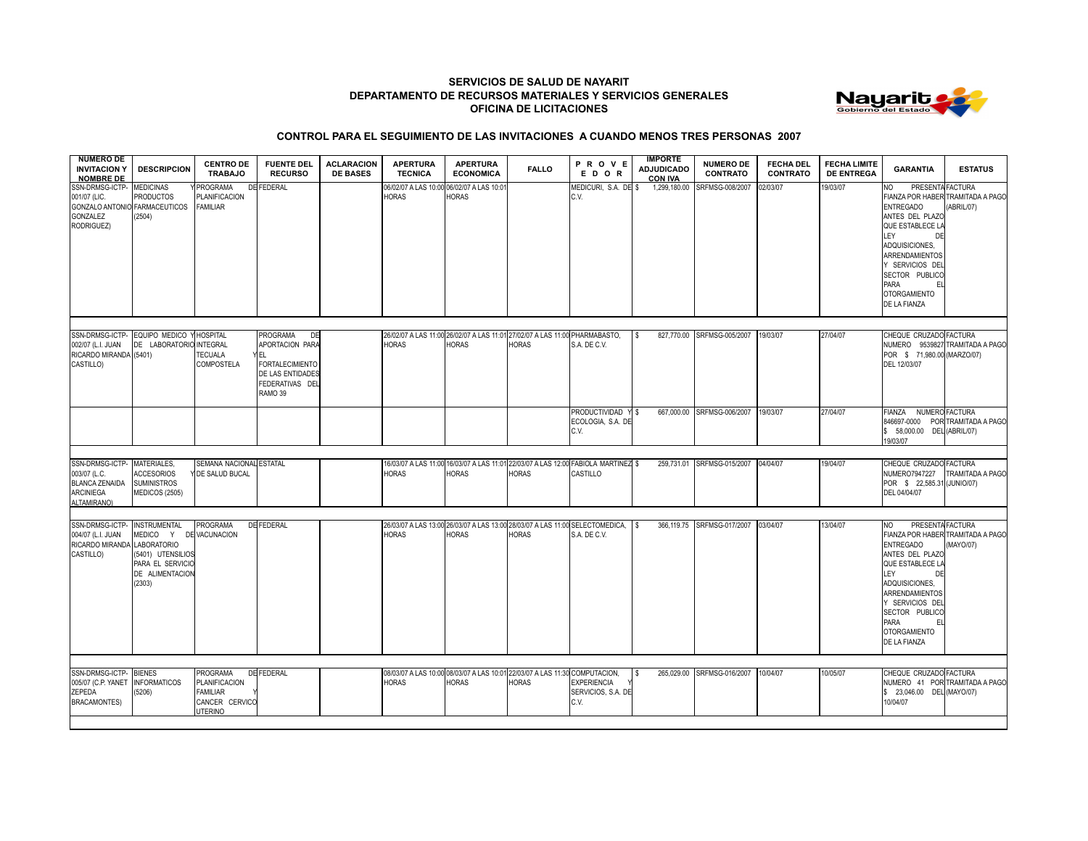## **SERVICIOS DE SALUD DE NAYARIT DEPARTAMENTO DE RECURSOS MATERIALES Y SERVICIOS GENERALES OFICINA DE LICITACIONES**



## **CONTROL PARA EL SEGUIMIENTO DE LAS INVITACIONES A CUANDO MENOS TRES PERSONAS 2007**

| <b>NUMERO DE</b><br><b>INVITACION Y</b><br><b>NOMBRE DE</b>                                 | <b>DESCRIPCION</b>                                                                                    | <b>CENTRO DE</b><br><b>TRABAJO</b>                                                      | <b>FUENTE DEL</b><br><b>RECURSO</b>                                                                                         | <b>ACLARACION</b><br><b>DE BASES</b> | <b>APERTURA</b><br><b>TECNICA</b>    | <b>APERTURA</b><br><b>ECONOMICA</b>                                                                | <b>FALLO</b> | PROVE<br>EDOR                                     | <b>IMPORTE</b><br><b>ADJUDICADO</b><br><b>CON IVA</b> | <b>NUMERO DE</b><br><b>CONTRATO</b> | <b>FECHA DEL</b><br><b>CONTRATO</b> | <b>FECHA LIMITE</b><br><b>DE ENTREGA</b> | <b>GARANTIA</b>                                                                                                                                                                                                               | <b>ESTATUS</b>                                  |
|---------------------------------------------------------------------------------------------|-------------------------------------------------------------------------------------------------------|-----------------------------------------------------------------------------------------|-----------------------------------------------------------------------------------------------------------------------------|--------------------------------------|--------------------------------------|----------------------------------------------------------------------------------------------------|--------------|---------------------------------------------------|-------------------------------------------------------|-------------------------------------|-------------------------------------|------------------------------------------|-------------------------------------------------------------------------------------------------------------------------------------------------------------------------------------------------------------------------------|-------------------------------------------------|
| SSN-DRMSG-ICTP-<br>001/07 (LIC.<br>GONZALO ANTONIO FARMACEUTICOS<br>GONZALEZ<br>RODRIGUEZ)  | <b>MEDICINAS</b><br><b>PRODUCTOS</b><br>(2504)                                                        | <b>PROGRAMA</b><br>PLANIFICACION<br><b>FAMILIAR</b>                                     | <b>DE FEDERAL</b>                                                                                                           |                                      | 06/02/07 A LAS 10:00<br><b>HORAS</b> | 06/02/07 A LAS 10:01<br><b>HORAS</b>                                                               |              | MEDICURI, S.A. DE \$<br>C.V.                      | 1,299,180.00                                          | SRFMSG-008/2007                     | 02/03/07                            | 19/03/07                                 | PRESENTA FACTURA<br>NO.<br><b>ENTREGADO</b><br>ANTES DEL PLAZO<br>QUE ESTABLECE L<br>LEY<br>DE<br>ADQUISICIONES,<br>ARRENDAMIENTOS<br>Y SERVICIOS DEI<br>SECTOR PUBLICO<br>PARA<br>FI<br><b>OTORGAMIENTO</b><br>DE LA FIANZA  | FIANZA POR HABER TRAMITADA A PAGO<br>(ABRIL/07) |
|                                                                                             |                                                                                                       |                                                                                         |                                                                                                                             |                                      |                                      |                                                                                                    |              |                                                   |                                                       |                                     |                                     |                                          |                                                                                                                                                                                                                               |                                                 |
| SSN-DRMSG-ICTP-<br>002/07 (L.I. JUAN<br>RICARDO MIRANDA (5401)<br>CASTILLO)                 | EQUIPO MEDICO Y HOSPITAL<br>DE LABORATORIO INTEGRAL                                                   | <b>TECUALA</b><br>COMPOSTELA                                                            | PROGRAMA<br>DE<br><b>APORTACION PARA</b><br>YEL<br><b>FORTALECIMIENTO</b><br>DE LAS ENTIDADES<br>FEDERATIVAS DEL<br>RAMO 39 |                                      | <b>HORAS</b>                         | 26/02/07 A LAS 11:00 26/02/07 A LAS 11:01 27/02/07 A LAS 11:00 PHARMABASTO,<br><b>HORAS</b>        | <b>HORAS</b> | S.A. DE C.V.                                      | 827,770.00<br>S                                       | SRFMSG-005/2007                     | 19/03/07                            | 27/04/07                                 | CHEQUE CRUZADO FACTURA<br>POR \$71,980.00 (MARZO/07)<br>DEL 12/03/07                                                                                                                                                          | NUMERO 9539827 TRAMITADA A PAGO                 |
|                                                                                             |                                                                                                       |                                                                                         |                                                                                                                             |                                      |                                      |                                                                                                    |              | <b>PRODUCTIVIDAD</b><br>ECOLOGIA, S.A. DE<br>C.V. | Y \$                                                  | 667,000.00 SRFMSG-006/2007          | 19/03/07                            | 27/04/07                                 | FIANZA<br>846697-0000<br>\$ 58,000.00 DEL (ABRIL/07)<br>19/03/07                                                                                                                                                              | NUMERO FACTURA<br>POR TRAMITADA A PAGO          |
|                                                                                             |                                                                                                       |                                                                                         |                                                                                                                             |                                      |                                      |                                                                                                    |              |                                                   |                                                       |                                     |                                     |                                          |                                                                                                                                                                                                                               |                                                 |
| SSN-DRMSG-ICTP-<br>003/07 (L.C.<br><b>BLANCA ZENAIDA</b><br><b>ARCINIEGA</b><br>ALTAMIRANO) | MATERIALES.<br><b>ACCESORIOS</b><br><b>SUMINISTROS</b><br>MEDICOS (2505)                              | SEMANA NACIONAL ESTATAL<br>DE SALUD BUCAL                                               |                                                                                                                             |                                      | <b>HORAS</b>                         | 16/03/07 A LAS 11:00 16/03/07 A LAS 11:01 22/03/07 A LAS 12:00 FABIOLA MARTINEZ \$<br><b>HORAS</b> | <b>HORAS</b> | CASTILLO                                          | 259,731.01                                            | SRFMSG-015/2007                     | 04/04/07                            | 19/04/07                                 | CHEQUE CRUZADO FACTURA<br><b>NUMERO7947227</b><br>POR \$ 22,585.31 (JUNIO/07)<br>DEL 04/04/07                                                                                                                                 | TRAMITADA A PAGO                                |
|                                                                                             |                                                                                                       |                                                                                         |                                                                                                                             |                                      |                                      |                                                                                                    |              |                                                   |                                                       |                                     |                                     |                                          |                                                                                                                                                                                                                               |                                                 |
| SSN-DRMSG-ICTP-<br>004/07 (L.I. JUAN<br>RICARDO MIRANDA LABORATORIO<br>CASTILLO)            | <b>INSTRUMENTAL</b><br>MEDICO Y<br>(5401) UTENSILIOS<br>PARA EL SERVICIO<br>DE ALIMENTACION<br>(2303) | PROGRAMA<br>DE VACUNACION                                                               | DE FEDERAL                                                                                                                  |                                      | <b>HORAS</b>                         | 26/03/07 A LAS 13:00 26/03/07 A LAS 13:00 28/03/07 A LAS 11:00 SELECTOMEDICA,<br><b>HORAS</b>      | <b>HORAS</b> | S.A. DE C.V.                                      |                                                       | 366,119.75 SRFMSG-017/2007          | 03/04/07                            | 13/04/07                                 | PRESENTA FACTURA<br>NO.<br><b>ENTREGADO</b><br>ANTES DEL PLAZO<br>QUE ESTABLECE LA<br>LEY<br>DE<br>ADQUISICIONES,<br>ARRENDAMIENTOS<br>Y SERVICIOS DEL<br>SECTOR PUBLICO<br>PARA<br>EI<br><b>OTORGAMIENTO</b><br>DE LA FIANZA | FIANZA POR HABER TRAMITADA A PAGO<br>(MAYO/07)  |
|                                                                                             |                                                                                                       |                                                                                         |                                                                                                                             |                                      |                                      |                                                                                                    |              |                                                   |                                                       |                                     |                                     |                                          |                                                                                                                                                                                                                               |                                                 |
| SSN-DRMSG-ICTP-<br>005/07 (C.P. YANET<br>ZEPEDA<br><b>BRACAMONTES)</b>                      | <b>BIENES</b><br><b>INFORMATICOS</b><br>(5206)                                                        | PROGRAMA<br><b>PLANIFICACION</b><br><b>FAMILIAR</b><br>CANCER CERVICO<br><b>UTERINO</b> | <b>DE FEDERAL</b>                                                                                                           |                                      | <b>HORAS</b>                         | 08/03/07 A LAS 10:00 08/03/07 A LAS 10:01 22/03/07 A LAS 11:30 COMPUTACION,<br><b>HORAS</b>        | <b>HORAS</b> | <b>EXPERIENCIA</b><br>SERVICIOS, S.A. DE<br>C.V.  | 265,029.00                                            | SRFMSG-016/2007                     | 10/04/07                            | 10/05/07                                 | CHEQUE CRUZADO FACTURA<br>\$ 23,046.00 DEL (MAYO/07)<br>10/04/07                                                                                                                                                              | NUMERO 41 POR TRAMITADA A PAGO                  |
|                                                                                             |                                                                                                       |                                                                                         |                                                                                                                             |                                      |                                      |                                                                                                    |              |                                                   |                                                       |                                     |                                     |                                          |                                                                                                                                                                                                                               |                                                 |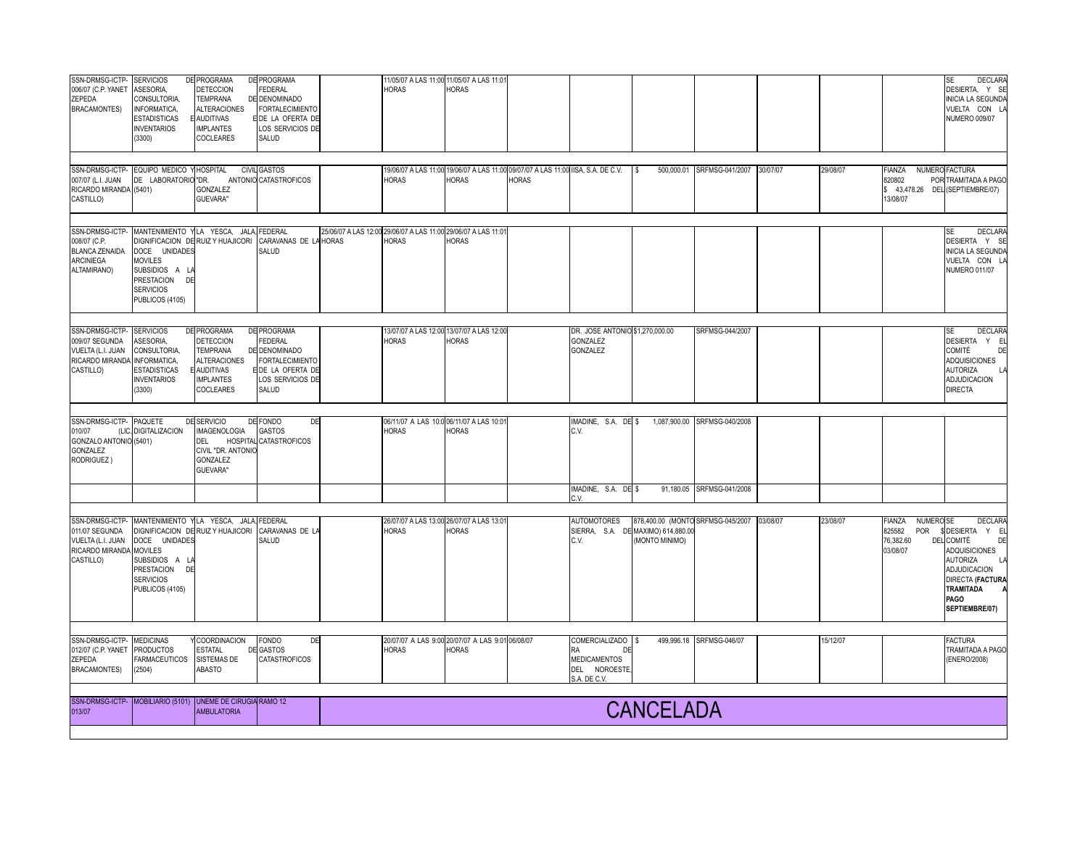| SSN-DRMSG-ICTP-<br>006/07 (C.P. YANET<br>ZEPEDA<br><b>BRACAMONTES)</b>                              | <b>SERVICIOS</b><br>ASESORIA,<br>CONSULTORIA,<br>INFORMATICA,<br><b>ESTADISTICAS</b><br><b>INVENTARIOS</b><br>(3300) | <b>DE PROGRAMA</b><br>DETECCION<br>TEMPRANA<br><b>ALTERACIONES</b><br><b>AUDITIVAS</b><br><b>IMPLANTES</b><br>COCLEARES | <b>DE PROGRAMA</b><br><b>FEDERAL</b><br>DE DENOMINADO<br><b>FORTALECIMIENTO</b><br>E DE LA OFERTA DE<br>LOS SERVICIOS DE<br>SALUD |              | <b>HORAS</b>                                                                  | 11/05/07 A LAS 11:00 11/05/07 A LAS 11:01<br>HORAS                                                |              |                                                                                       |                                                                                           |                              |          |          |                                                                          | DECLARA<br>SE<br>DESIERTA, Y SE<br><b>INICIA LA SEGUNDA</b><br>VUELTA CON L/<br><b>NUMERO 009/07</b>                                                                                            |
|-----------------------------------------------------------------------------------------------------|----------------------------------------------------------------------------------------------------------------------|-------------------------------------------------------------------------------------------------------------------------|-----------------------------------------------------------------------------------------------------------------------------------|--------------|-------------------------------------------------------------------------------|---------------------------------------------------------------------------------------------------|--------------|---------------------------------------------------------------------------------------|-------------------------------------------------------------------------------------------|------------------------------|----------|----------|--------------------------------------------------------------------------|-------------------------------------------------------------------------------------------------------------------------------------------------------------------------------------------------|
| 007/07 (L.I. JUAN<br>RICARDO MIRANDA (5401)<br>CASTILLO)                                            | SSN-DRMSG-ICTP- EQUIPO MEDICO Y HOSPITAL<br>DE LABORATORIO "DR.                                                      | GONZALEZ<br>GUEVARA"                                                                                                    | <b>CIVIL GASTOS</b><br>ANTONIO CATASTROFICOS                                                                                      |              | <b>HORAS</b>                                                                  | 19/06/07 A LAS 11:00 19/06/07 A LAS 11:00 09/07/07 A LAS 11:00 IISA, S.A. DE C.V.<br><b>HORAS</b> | <b>HORAS</b> |                                                                                       | l s                                                                                       | 500,000.01 SRFMSG-041/2007   | 30/07/07 | 29/08/07 | <b>FIANZA</b><br>820802<br>13/08/07                                      | NUMERO FACTURA<br>POR TRAMITADA A PAGO<br>\$43,478.26 DEL (SEPTIEMBRE/07)                                                                                                                       |
| SSN-DRMSG-ICTP-<br>008/07 (C.P.<br><b>BLANCA ZENAIDA</b><br><b>ARCINIEGA</b><br>ALTAMIRANO)         | DOCE UNIDADES<br><b>MOVILES</b><br>SUBSIDIOS A L/<br>PRESTACION<br>DE<br><b>SERVICIOS</b><br>PUBLICOS (4105)         | MANTENIMIENTO YLA YESCA, JALA, FEDERAL<br>DIGNIFICACION DE RUIZ Y HUAJICORI                                             | CARAVANAS DE LA<br>SALUD                                                                                                          | <b>HORAS</b> | 25/06/07 A LAS 12:00 29/06/07 A LAS 11:00 29/06/07 A LAS 11:0<br><b>HORAS</b> | <b>HORAS</b>                                                                                      |              |                                                                                       |                                                                                           |                              |          |          |                                                                          | <b>DECLARA</b><br>SE<br>DESIERTA Y SE<br><b>INICIA LA SEGUNDA</b><br>VUELTA CON L.<br><b>NUMERO 011/07</b>                                                                                      |
| SSN-DRMSG-ICTP-<br>009/07 SEGUNDA<br>VUELTA (L.I. JUAN<br>RICARDO MIRANDA INFORMATICA,<br>CASTILLO) | <b>SERVICIOS</b><br>ASESORIA.<br>CONSULTORIA,<br><b>ESTADISTICAS</b><br><b>INVENTARIOS</b><br>(3300)                 | <b>DE PROGRAMA</b><br>DETECCION<br>TEMPRANA<br><b>ALTERACIONES</b><br><b>AUDITIVAS</b><br><b>IMPLANTES</b><br>COCLEARES | <b>DE PROGRAMA</b><br><b>FEDERAL</b><br>DE DENOMINADO<br><b>FORTALECIMIENTO</b><br>E DE LA OFERTA DE<br>LOS SERVICIOS DE<br>SALUD |              | <b>HORAS</b>                                                                  | 3/07/07 A LAS 12:00 13/07/07 A LAS 12:00<br>HORAS                                                 |              | DR. JOSE ANTONIO \$1,270,000.00<br>GONZALEZ<br>GONZALEZ                               |                                                                                           | SRFMSG-044/2007              |          |          |                                                                          | <b>SE</b><br><b>DECLARA</b><br>DESIERTA Y EL<br>COMITÉ<br>DE<br><b>ADQUISICIONES</b><br><b>AUTORIZA</b><br>L<br>ADJUDICACION<br><b>DIRECTA</b>                                                  |
| SSN-DRMSG-ICTP- PAQUETE<br>010/07<br>GONZALO ANTONIO (5401)<br>GONZALEZ<br>RODRIGUEZ)               | (LIC. DIGITALIZACION                                                                                                 | DE SERVICIO<br><b>IMAGENOLOGIA</b><br>DEL<br>CIVIL "DR. ANTONIO<br>GONZALEZ<br><b>GUEVARA"</b>                          | DE FONDO<br>DE<br>GASTOS<br>HOSPITAL CATASTROFICOS                                                                                |              | <b>HORAS</b>                                                                  | 06/11/07 A LAS 10:0 06/11/07 A LAS 10:01<br><b>HORAS</b>                                          |              | MADINE, S.A. DE \$<br>C.V.                                                            |                                                                                           | 1,087,900.00 SRFMSG-040/2008 |          |          |                                                                          |                                                                                                                                                                                                 |
|                                                                                                     |                                                                                                                      |                                                                                                                         |                                                                                                                                   |              |                                                                               |                                                                                                   |              | MADINE, S.A. DE \$<br>2V                                                              |                                                                                           | 91,180.05 SRFMSG-041/2008    |          |          |                                                                          |                                                                                                                                                                                                 |
| SSN-DRMSG-ICTP-<br>011/07 SEGUNDA<br>VUELTA (L.I. JUAN<br>RICARDO MIRANDA MOVILES<br>CASTILLO)      | DOCE UNIDADES<br>SUBSIDIOS A LA<br>PRESTACION<br>DE<br><b>SERVICIOS</b><br>PUBLICOS (4105)                           | MANTENIMIENTO YLA YESCA, JALA, FEDERAL<br>DIGNIFICACION DE RUIZ Y HUAJICORI                                             | CARAVANAS DE LA<br>SALUD                                                                                                          |              | <b>HORAS</b>                                                                  | 26/07/07 A LAS 13:00 26/07/07 A LAS 13:01<br><b>HORAS</b>                                         |              | <b>AUTOMOTORES</b><br>C.V.                                                            | 878,400.00 (MONTO SRFMSG-045/2007<br>SIERRA, S.A. DE MAXIMO) 614,880.00<br>(MONTO MINIMO) |                              | 03/08/07 | 23/08/07 | NUMERO <sub>SE</sub><br>FIANZA<br>POR<br>825582<br>76,382.60<br>03/08/07 | <b>DECLARA</b><br>\$DESIERTA Y EI<br><b>DEL COMITÉ</b><br>DE<br>ADQUISICIONES<br><b>AUTORIZA</b><br>LA<br>ADJUDICACION<br><b>DIRECTA (FACTURA</b><br>TRAMITADA<br><b>PAGO</b><br>SEPTIEMBRE/07) |
| SSN-DRMSG-ICTP- MEDICINAS<br>012/07 (C.P. YANET<br>ZEPEDA<br><b>BRACAMONTES)</b>                    | <b>PRODUCTOS</b><br><b>FARMACEUTICOS</b><br>(2504)                                                                   | <b>COORDINACION</b><br><b>ESTATAL</b><br>SISTEMAS DE<br>ABASTO                                                          | <b>FONDO</b><br>DE<br>DE GASTOS<br>CATASTROFICOS                                                                                  |              | <b>HORAS</b>                                                                  | 20/07/07 A LAS 9:00 20/07/07 A LAS 9:01 06/08/07<br><b>HORAS</b>                                  |              | COMERCIALIZADO \$<br>RA<br>DE<br><b>MEDICAMENTOS</b><br>DEL NOROESTE,<br>S.A. DE C.V. |                                                                                           | 499,996.18 SRFMSG-046/07     |          | 15/12/07 |                                                                          | <b>FACTURA</b><br>TRAMITADA A PAGO<br>(ENERO/2008)                                                                                                                                              |
| 013/07                                                                                              |                                                                                                                      | SSN-DRMSG-ICTP- MOBILIARIO (5101) UNEME DE CIRUGIA RAMO 12<br><b>AMBULATORIA</b>                                        |                                                                                                                                   |              |                                                                               |                                                                                                   |              |                                                                                       | <b>CANCELADA</b>                                                                          |                              |          |          |                                                                          |                                                                                                                                                                                                 |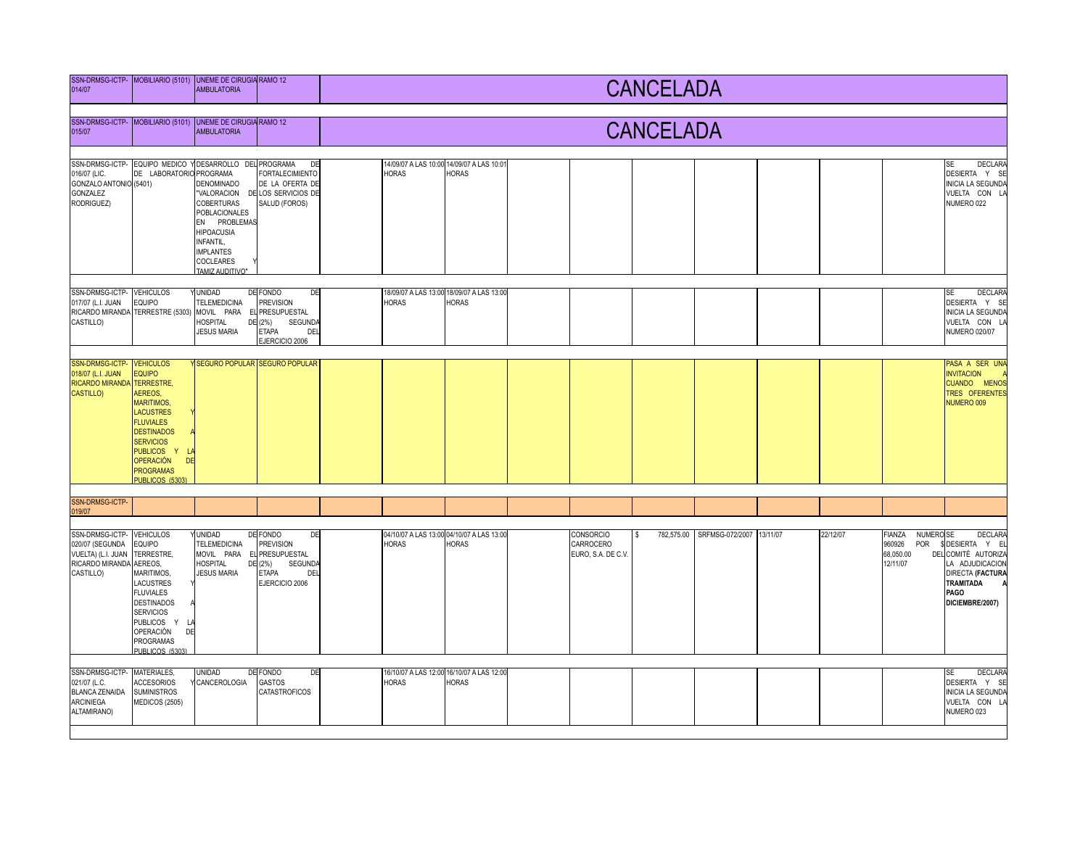| 014/07                                                                                                  | SSN-DRMSG-ICTP- MOBILIARIO (5101) UNEME DE CIRUGIA RAMO 12                                                                                                                                                                         | <b>AMBULATORIA</b>                                                                                                                                                                  |                                                                                                                             | <b>CANCELADA</b> |                  |                                                           |  |                                              |          |                                     |  |          |                                                                          |                                                                                                                                                       |  |
|---------------------------------------------------------------------------------------------------------|------------------------------------------------------------------------------------------------------------------------------------------------------------------------------------------------------------------------------------|-------------------------------------------------------------------------------------------------------------------------------------------------------------------------------------|-----------------------------------------------------------------------------------------------------------------------------|------------------|------------------|-----------------------------------------------------------|--|----------------------------------------------|----------|-------------------------------------|--|----------|--------------------------------------------------------------------------|-------------------------------------------------------------------------------------------------------------------------------------------------------|--|
| 015/07                                                                                                  | SSN-DRMSG-ICTP- MOBILIARIO (5101) UNEME DE CIRUGIA RAMO 12                                                                                                                                                                         | <b>AMBULATORIA</b>                                                                                                                                                                  |                                                                                                                             |                  | <b>CANCELADA</b> |                                                           |  |                                              |          |                                     |  |          |                                                                          |                                                                                                                                                       |  |
| 016/07 (LIC.<br>GONZALO ANTONIO (5401)<br>GONZALEZ<br>RODRIGUEZ)                                        | SSN-DRMSG-ICTP- EQUIPO MEDICO Y DESARROLLO DEL PROGRAMA<br>DE LABORATORIO PROGRAMA                                                                                                                                                 | <b>DENOMINADO</b><br>"VALORACION<br><b>COBERTURAS</b><br><b>POBLACIONALES</b><br>EN PROBLEMAS<br><b>HIPOACUSIA</b><br>INFANTIL,<br><b>IMPLANTES</b><br>COCLEARES<br>TAMIZ AUDITIVO" | DE<br><b>FORTALECIMIENTO</b><br>DE LA OFERTA DE<br>DE LOS SERVICIOS DE<br>SALUD (FOROS)                                     |                  | <b>HORAS</b>     | 14/09/07 A LAS 10:00 14/09/07 A LAS 10:01<br><b>HORAS</b> |  |                                              |          |                                     |  |          |                                                                          | <b>DECLARA</b><br>SE<br>DESIERTA Y SE<br><b>INICIA LA SEGUNDA</b><br>VUELTA CON LA<br>NUMERO 022                                                      |  |
| SSN-DRMSG-ICTP- VEHICULOS<br>017/07 (L.I. JUAN<br>CASTILLO)                                             | EQUIPO<br>RICARDO MIRANDA TERRESTRE (5303)                                                                                                                                                                                         | <b>YUNIDAD</b><br><b>TELEMEDICINA</b><br>MOVIL PARA<br>HOSPITAL<br><b>JESUS MARIA</b>                                                                                               | DE<br>DE FONDO<br><b>PREVISION</b><br>EL PRESUPUESTAL<br>DE (2%)<br><b>SEGUNDA</b><br>DEL<br><b>ETAPA</b><br>EJERCICIO 2006 |                  | <b>HORAS</b>     | 18/09/07 A LAS 13:00 18/09/07 A LAS 13:00<br><b>IORAS</b> |  |                                              |          |                                     |  |          |                                                                          | <b>SE</b><br><b>DECLARA</b><br>DESIERTA Y SE<br><b>INICIA LA SEGUNDA</b><br>VUELTA CON LA<br><b>NUMERO 020/07</b>                                     |  |
| SSN-DRMSG-ICTP- VEHICULOS<br>018/07 (L.I. JUAN<br><b>RICARDO MIRANDA</b><br><b>CASTILLO)</b>            | <b>EQUIPO</b><br><b>TERRESTRE,</b><br>AEREOS,<br><b>MARITIMOS,</b><br><b>LACUSTRES</b><br><b>FLUVIALES</b><br><b>DESTINADOS</b><br><b>SERVICIOS</b><br>PUBLICOS Y<br><b>OPERACIÓN</b><br>DE<br><b>PROGRAMAS</b><br>PUBLICOS (5303) |                                                                                                                                                                                     | Y SEGURO POPULAR SEGURO POPULAR                                                                                             |                  |                  |                                                           |  |                                              |          |                                     |  |          |                                                                          | PASA A SER UNA<br><b>INVITACION</b><br>CUANDO MENOS<br>TRES OFERENTES<br>NUMERO 009                                                                   |  |
| SSN-DRMSG-ICTP-<br>019/07                                                                               |                                                                                                                                                                                                                                    |                                                                                                                                                                                     |                                                                                                                             |                  |                  |                                                           |  |                                              |          |                                     |  |          |                                                                          |                                                                                                                                                       |  |
| SSN-DRMSG-ICTP- VEHICULOS<br>020/07 (SEGUNDA<br>VUELTA) (L.I. JUAN<br>RICARDO MIRANDA<br>CASTILLO)      | <b>EQUIPO</b><br>TERRESTRE,<br>AEREOS.<br>MARITIMOS,<br>LACUSTRES<br><b>FLUVIALES</b><br><b>DESTINADOS</b><br><b>SERVICIOS</b><br>PUBLICOS Y<br>OPERACIÓN<br>DE<br>PROGRAMAS<br>PUBLICOS (5303)                                    | <b>UNIDAD</b><br><b>TELEMEDICINA</b><br>MOVIL PARA<br><b>HOSPITAL</b><br><b>JESUS MARIA</b>                                                                                         | DE FONDO<br>DE<br><b>PREVISION</b><br>EL PRESUPUESTAL<br>DE (2%)<br><b>SEGUNDA</b><br>DEL<br><b>ETAPA</b><br>EJERCICIO 2006 |                  | <b>HORAS</b>     | 04/10/07 A LAS 13:00 04/10/07 A LAS 13:00<br><b>HORAS</b> |  | CONSORCIO<br>CARROCERO<br>EURO, S.A. DE C.V. | <b>S</b> | 782,575.00 SRFMSG-072/2007 13/11/07 |  | 22/12/07 | FIANZA<br>NUMERO <sub>SE</sub><br>960926<br>POR<br>68,050.00<br>12/11/07 | <b>DECLARA</b><br>\$DESIERTA Y EL<br>DEL COMITÉ AUTORIZA<br>LA ADJUDICACION<br><b>DIRECTA (FACTURA</b><br><b>TRAMITADA</b><br>PAGO<br>DICIEMBRE/2007) |  |
| SSN-DRMSG-ICTP- MATERIALES,<br>021/07 (L.C.<br><b>BLANCA ZENAIDA</b><br><b>ARCINIEGA</b><br>ALTAMIRANO) | <b>ACCESORIOS</b><br><b>SUMINISTROS</b><br>MEDICOS (2505)                                                                                                                                                                          | <b>UNIDAD</b><br>CANCEROLOGIA                                                                                                                                                       | DE FONDO<br>DE<br><b>GASTOS</b><br>CATASTROFICOS                                                                            |                  | <b>HORAS</b>     | 16/10/07 A LAS 12:00 16/10/07 A LAS 12:00<br><b>HORAS</b> |  |                                              |          |                                     |  |          |                                                                          | <b>SE</b><br>DECLARA<br>DESIERTA Y SE<br><b>INICIA LA SEGUNDA</b><br>VUELTA CON LA<br>NUMERO 023                                                      |  |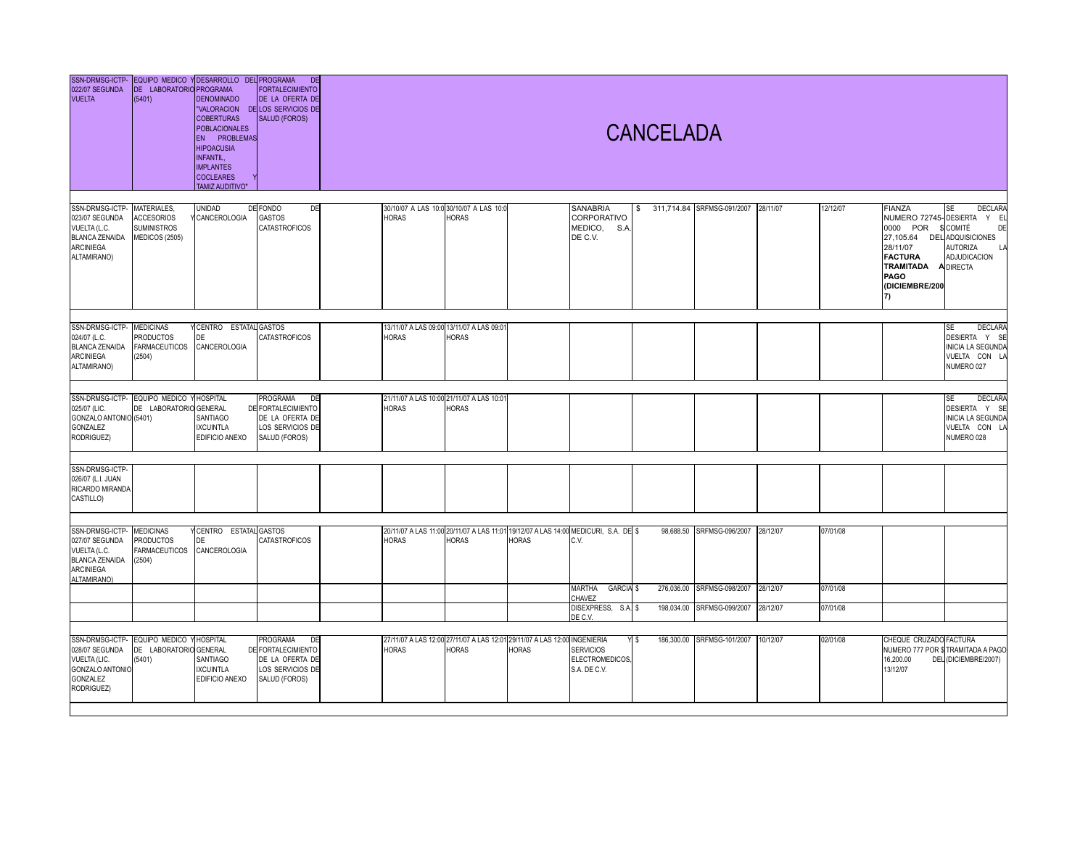| 022/07 SEGUNDA<br><b>VUELTA</b>                                                                               | DE LABORATORIO PROGRAMA<br>(5401)                                              | SSN-DRMSG-ICTP- EQUIPO MEDICO Y DESARROLLO DEL PROGRAMA<br><b>DENOMINADO</b><br><b>COBERTURAS</b><br><b>POBLACIONALES</b><br>EN PROBLEMAS<br><b>HIPOACUSIA</b><br>NFANTIL,<br><b>IMPLANTES</b><br><b>COCLEARES</b><br><b>TAMIZ AUDITIVO"</b> | DE<br><b>FORTALECIMIENTO</b><br>DE LA OFERTA DE<br>"VALORACION DE LOS SERVICIOS DE<br><b>SALUD (FOROS)</b> |              |                                                           |                                                                                                     |                                                          | <b>CANCELADA</b> |                            |          |          |                                                                                                                                            |                                                                                                                                     |
|---------------------------------------------------------------------------------------------------------------|--------------------------------------------------------------------------------|----------------------------------------------------------------------------------------------------------------------------------------------------------------------------------------------------------------------------------------------|------------------------------------------------------------------------------------------------------------|--------------|-----------------------------------------------------------|-----------------------------------------------------------------------------------------------------|----------------------------------------------------------|------------------|----------------------------|----------|----------|--------------------------------------------------------------------------------------------------------------------------------------------|-------------------------------------------------------------------------------------------------------------------------------------|
| SSN-DRMSG-ICTP-<br>023/07 SEGUNDA<br>VUELTA (L.C.<br><b>BLANCA ZENAIDA</b><br><b>ARCINIEGA</b><br>ALTAMIRANO) | <b>MATERIALES</b><br><b>ACCESORIOS</b><br><b>SUMINISTROS</b><br>MEDICOS (2505) | UNIDAD<br>Y CANCEROLOGIA                                                                                                                                                                                                                     | DE FONDO<br>DE<br>GASTOS<br>CATASTROFICOS                                                                  | <b>HORAS</b> | 30/10/07 A LAS 10:0 30/10/07 A LAS 10:0<br><b>HORAS</b>   |                                                                                                     | <b>SANABRIA</b><br>CORPORATIVO<br>MEDICO, S.A<br>DE C.V. | \$               | 311,714.84 SRFMSG-091/2007 | 28/11/07 | 12/12/07 | <b>FIANZA</b><br>0000 POR<br>27,105.64 DEL ADQUISICIONES<br>28/11/07<br><b>FACTURA</b><br><b>TRAMITADA</b><br>PAGO<br>(DICIEMBRE/200<br>7) | DECLARA<br><b>SE</b><br>NUMERO 72745- DESIERTA Y EL<br>\$ COMITÉ<br>DF<br><b>AUTORIZA</b><br>LA<br>ADJUDICACION<br><b>A DIRECTA</b> |
| SSN-DRMSG-ICTP-<br>024/07 (L.C.<br><b>BLANCA ZENAIDA</b><br><b>ARCINIEGA</b><br>ALTAMIRANO)                   | <b>MEDICINAS</b><br><b>PRODUCTOS</b><br><b>FARMACEUTICOS</b><br>(2504)         | <b>Y CENTRO</b><br><b>ESTATAL</b><br>DE<br>CANCEROLOGIA                                                                                                                                                                                      | GASTOS<br>CATASTROFICOS                                                                                    | <b>HORAS</b> | 13/11/07 A LAS 09:00 13/11/07 A LAS 09:01<br><b>HORAS</b> |                                                                                                     |                                                          |                  |                            |          |          |                                                                                                                                            | <b>SE</b><br>DECLARA<br>DESIERTA Y SE<br><b>INICIA LA SEGUNDA</b><br>VUELTA CON LA<br>NUMERO 027                                    |
| SSN-DRMSG-ICTP-<br>025/07 (LIC.<br>GONZALO ANTONIO (5401)<br><b>GONZALEZ</b><br>RODRIGUEZ)                    | EQUIPO MEDICO Y HOSPITAL<br>DE LABORATORIO GENERAL                             | SANTIAGO<br><b>IXCUINTLA</b><br>EDIFICIO ANEXO                                                                                                                                                                                               | PROGRAMA<br>DE<br>DE FORTALECIMIENTO<br>DE LA OFERTA DE<br>LOS SERVICIOS DE<br>SALUD (FOROS)               | <b>HORAS</b> | 21/11/07 A LAS 10:00 21/11/07 A LAS 10:01<br><b>HORAS</b> |                                                                                                     |                                                          |                  |                            |          |          |                                                                                                                                            | DECLARA<br><b>SE</b><br>DESIERTA Y SE<br><b>INICIA LA SEGUNDA</b><br>VUELTA CON LA<br>NUMERO 028                                    |
| SSN-DRMSG-ICTP-<br>026/07 (L.I. JUAN<br>RICARDO MIRANDA<br>CASTILLO)                                          |                                                                                |                                                                                                                                                                                                                                              |                                                                                                            |              |                                                           |                                                                                                     |                                                          |                  |                            |          |          |                                                                                                                                            |                                                                                                                                     |
| SSN-DRMSG-ICTP-<br>027/07 SEGUNDA<br>VUELTA (L.C.<br><b>BLANCA ZENAIDA</b><br><b>ARCINIEGA</b><br>ALTAMIRANO) | <b>MEDICINAS</b><br><b>PRODUCTOS</b><br><b>FARMACEUTICOS</b><br>(2504)         | CENTRO ESTATAL GASTOS<br>DE<br>CANCEROLOGIA                                                                                                                                                                                                  | CATASTROFICOS                                                                                              | <b>HORAS</b> | <b>HORAS</b>                                              | 20/11/07 A LAS 11:00 20/11/07 A LAS 11:01 19/12/07 A LAS 14:00 MEDICURI, S.A. DE \$<br><b>HORAS</b> | C.V.                                                     |                  | 98,688.50 SRFMSG-096/2007  | 28/12/07 | 07/01/08 |                                                                                                                                            |                                                                                                                                     |
|                                                                                                               |                                                                                |                                                                                                                                                                                                                                              |                                                                                                            |              |                                                           |                                                                                                     | MARTHA<br>GARCIA \$<br>CHAVEZ                            |                  | 276,036.00 SRFMSG-098/2007 | 28/12/07 | 07/01/08 |                                                                                                                                            |                                                                                                                                     |
|                                                                                                               |                                                                                |                                                                                                                                                                                                                                              |                                                                                                            |              |                                                           |                                                                                                     | DISEXPRESS, S.A. \$<br>DE C.V.                           |                  | 198,034.00 SRFMSG-099/2007 | 28/12/07 | 07/01/08 |                                                                                                                                            |                                                                                                                                     |
| 028/07 SEGUNDA<br>VUELTA (LIC.<br><b>GONZALO ANTONIO</b><br>GONZALEZ<br>RODRIGUEZ)                            | SSN-DRMSG-ICTP- EQUIPO MEDICO Y HOSPITAL<br>DE LABORATORIO GENERAL<br>(5401)   | SANTIAGO<br><b>IXCUINTLA</b><br>EDIFICIO ANEXO                                                                                                                                                                                               | <b>PROGRAMA</b><br>DE<br>DE FORTALECIMIENTO<br>DE LA OFERTA DE<br>LOS SERVICIOS DE<br>SALUD (FOROS)        | <b>HORAS</b> | <b>HORAS</b>                                              | 27/11/07 A LAS 12:00 27/11/07 A LAS 12:01 29/11/07 A LAS 12:00 INGENIERIA<br><b>HORAS</b>           | <b>SERVICIOS</b><br>ELECTROMEDICOS,<br>S.A. DE C.V.      | Y \$             | 186,300.00 SRFMSG-101/2007 | 10/12/07 | 02/01/08 | CHEQUE CRUZADO FACTURA<br>16,200.00<br>13/12/07                                                                                            | NUMERO 777 POR \$TRAMITADA A PAGO<br>DEL (DICIEMBRE/2007)                                                                           |
|                                                                                                               |                                                                                |                                                                                                                                                                                                                                              |                                                                                                            |              |                                                           |                                                                                                     |                                                          |                  |                            |          |          |                                                                                                                                            |                                                                                                                                     |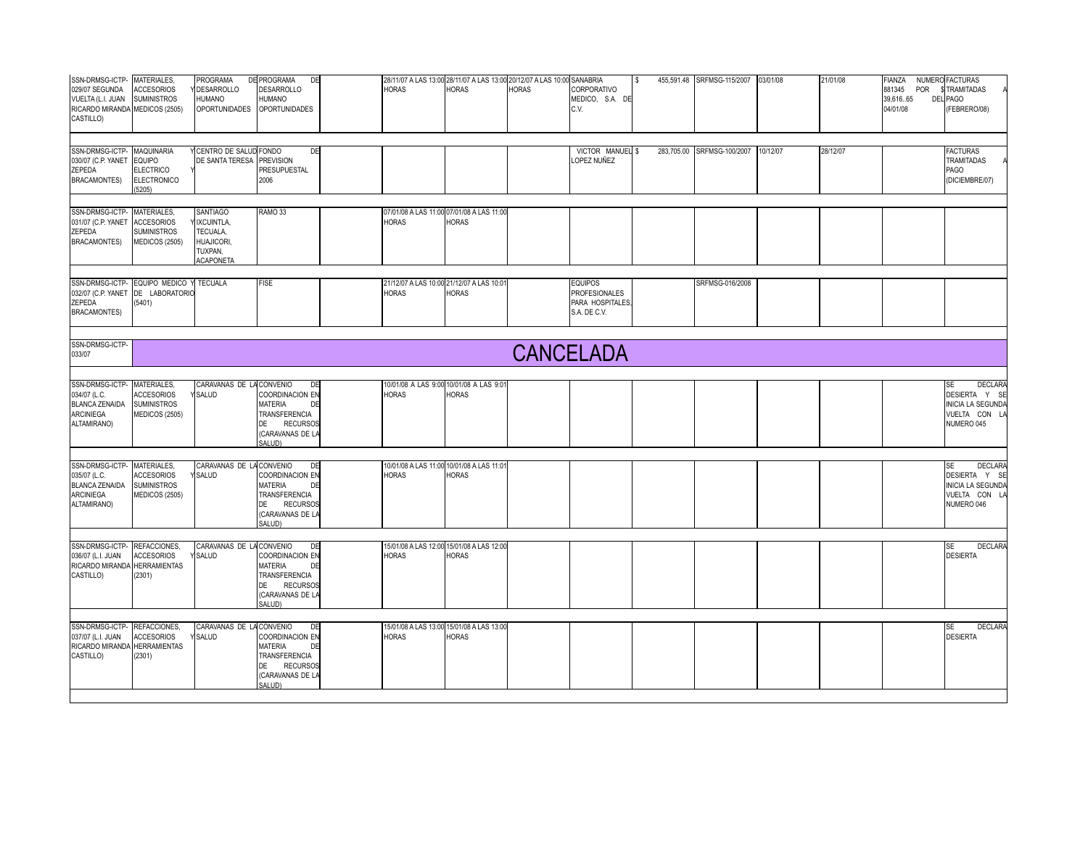| SSN-DRMSG-ICTP-MATERIALES<br>029/07 SEGUNDA<br>VUELTA (L.I. JUAN<br>RICARDO MIRANDA MEDICOS (2505)<br>CASTILLO) | <b>ACCESORIOS</b><br><b>SUMINISTROS</b>                                         | PROGRAMA<br><b>DESARROLLO</b><br>HUMANO<br><b>OPORTUNIDADES</b>                                      | DE PROGRAMA<br>DE<br><b>DESARROLLO</b><br>HUMANO<br><b>OPORTUNIDADES</b>                                                            |  | <b>HORAS</b>                         | 28/11/07 A LAS 13:00 28/11/07 A LAS 13:00 20/12/07 A LAS 10:00 SANABRIA<br><b>HORAS</b> | <b>HORAS</b> | CORPORATIVO<br>MEDICO, S.A. DE<br>C.V.                                     | IS. | 455,591.48 SRFMSG-115/2007 | 03/01/08 | 21/01/08 | <b>FIANZA</b><br>881345<br>POR<br>39,61665<br>04/01/08 | NUMERO FACTURAS<br>\$TRAMITADAS<br>DEL PAGO<br>(FEBRERO/08)                                             |
|-----------------------------------------------------------------------------------------------------------------|---------------------------------------------------------------------------------|------------------------------------------------------------------------------------------------------|-------------------------------------------------------------------------------------------------------------------------------------|--|--------------------------------------|-----------------------------------------------------------------------------------------|--------------|----------------------------------------------------------------------------|-----|----------------------------|----------|----------|--------------------------------------------------------|---------------------------------------------------------------------------------------------------------|
| SSN-DRMSG-ICTP-<br>030/07 (C.P. YANET<br>ZEPEDA<br><b>BRACAMONTES)</b>                                          | MAQUINARIA<br><b>EQUIPO</b><br><b>ELECTRICO</b><br><b>ELECTRONICO</b><br>(5205) | CENTRO DE SALUD FONDO<br>DE SANTA TERESA                                                             | DE<br><b>PREVISION</b><br><b>PRESUPUESTAL</b><br>2006                                                                               |  |                                      |                                                                                         |              | VICTOR MANUEL \$<br>LOPEZ NUÑEZ                                            |     | 283,705.00 SRFMSG-100/2007 | 10/12/07 | 28/12/07 |                                                        | <b>FACTURAS</b><br><b>TRAMITADAS</b><br>PAGO<br>(DICIEMBRE/07)                                          |
| SSN-DRMSG-ICTP- MATERIALES,<br>031/07 (C.P. YANET<br>ZEPEDA<br><b>BRACAMONTES)</b>                              | <b>ACCESORIOS</b><br><b>SUMINISTROS</b><br>MEDICOS (2505)                       | <b>SANTIAGO</b><br><b>IXCUINTLA,</b><br>TECUALA,<br><b>HUAJICORI,</b><br>TUXPAN,<br><b>ACAPONETA</b> | RAMO <sub>33</sub>                                                                                                                  |  | <b>HORAS</b>                         | 07/01/08 A LAS 11:00 07/01/08 A LAS 11:00<br>HORAS                                      |              |                                                                            |     |                            |          |          |                                                        |                                                                                                         |
| ZEPEDA<br><b>BRACAMONTES)</b>                                                                                   | SSN-DRMSG-ICTP- EQUIPO MEDICO Y<br>032/07 (C.P. YANET DE LABORATORIO<br>(5401)  | <b>TECUALA</b>                                                                                       | <b>FISE</b>                                                                                                                         |  | <b>HORAS</b>                         | 21/12/07 A LAS 10:00 21/12/07 A LAS 10:0<br><b>IORAS</b>                                |              | <b>EQUIPOS</b><br><b>PROFESIONALES</b><br>PARA HOSPITALES.<br>S.A. DE C.V. |     | SRFMSG-016/2008            |          |          |                                                        |                                                                                                         |
| SSN-DRMSG-ICTP-<br><b>CANCELADA</b><br>033/07                                                                   |                                                                                 |                                                                                                      |                                                                                                                                     |  |                                      |                                                                                         |              |                                                                            |     |                            |          |          |                                                        |                                                                                                         |
| SSN-DRMSG-ICTP- MATERIALES<br>034/07 (L.C.<br><b>BLANCA ZENAIDA</b><br><b>ARCINIEGA</b><br>ALTAMIRANO)          | <b>ACCESORIOS</b><br><b>SUMINISTROS</b><br>MEDICOS (2505)                       | CARAVANAS DE LACONVENIO<br><b>SALUD</b>                                                              | DE<br><b>COORDINACION EN</b><br><b>MATERIA</b><br>DE<br><b>TRANSFERENCIA</b><br>DE RECURSOS<br>(CARAVANAS DE LA<br>SALUD)           |  | <b>HORAS</b>                         | 10/01/08 A LAS 9:00 10/01/08 A LAS 9:01<br><b>HORAS</b>                                 |              |                                                                            |     |                            |          |          |                                                        | <b>DECLARA</b><br><b>SE</b><br>DESIERTA Y SE<br><b>INICIA LA SEGUNDA</b><br>VUELTA CON L<br>NUMERO 045  |
| SSN-DRMSG-ICTP- MATERIALES<br>035/07 (L.C.<br><b>BLANCA ZENAIDA</b><br><b>ARCINIEGA</b><br>ALTAMIRANO)          | <b>ACCESORIOS</b><br><b>SUMINISTROS</b><br>MEDICOS (2505)                       | CARAVANAS DE LA CONVENIO<br><b>SALUD</b>                                                             | DE<br><b>COORDINACION EN</b><br><b>MATERIA</b><br>DE<br>TRANSFERENCIA<br><b>DE</b><br><b>RECURSOS</b><br>(CARAVANAS DE LA<br>SALUD) |  | <b>HORAS</b>                         | 10/01/08 A LAS 11:00 10/01/08 A LAS 11:01<br><b>IORAS</b>                               |              |                                                                            |     |                            |          |          |                                                        | <b>SE</b><br><b>DECLARA</b><br>DESIERTA Y SI<br><b>INICIA LA SEGUNDA</b><br>VUELTA CON LA<br>NUMERO 046 |
| SSN-DRMSG-ICTP-<br>036/07 (L.I. JUAN<br>RICARDO MIRANDA<br>CASTILLO)                                            | REFACCIONES,<br><b>ACCESORIOS</b><br><b>HERRAMIENTAS</b><br>(2301)              | CARAVANAS DE LA CONVENIO<br>SALUD                                                                    | DE<br>COORDINACION EN<br><b>MATERIA</b><br>DE<br><b>TRANSFERENCIA</b><br>DE RECURSOS<br>(CARAVANAS DE LA<br>SALUD)                  |  | 15/01/08 A LAS 12:00<br><b>HORAS</b> | 15/01/08 A LAS 12:00<br><b>IORAS</b>                                                    |              |                                                                            |     |                            |          |          |                                                        | <b>DECLARA</b><br>SE<br><b>DESIERTA</b>                                                                 |
| SSN-DRMSG-ICTP-<br>037/07 (L.I. JUAN<br>RICARDO MIRANDA HERRAMIENTAS<br>CASTILLO)                               | REFACCIONES.<br><b>ACCESORIOS</b><br>(2301)                                     | CARAVANAS DE LA CONVENIO<br><b>SALUD</b>                                                             | DE<br><b>COORDINACION EN</b><br><b>MATERIA</b><br>DE<br><b>TRANSFERENCIA</b><br>DE<br><b>RECURSOS</b><br>(CARAVANAS DE LA<br>SALUD) |  | <b>HORAS</b>                         | 15/01/08 A LAS 13:00 15/01/08 A LAS 13:00<br><b>HORAS</b>                               |              |                                                                            |     |                            |          |          |                                                        | <b>DECLARA</b><br><b>SE</b><br><b>DESIERTA</b>                                                          |